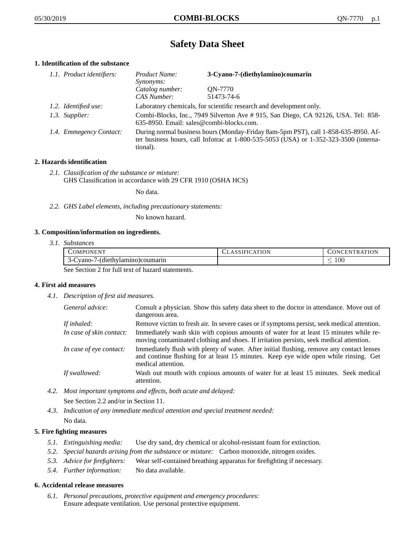# **Safety Data Sheet**

# **1. Identification of the substance**

| 1.1. Product identifiers: | Product Name:<br><i>Synonyms:</i>                                                                                                                                                           | 3-Cyano-7-(diethylamino)coumarin |
|---------------------------|---------------------------------------------------------------------------------------------------------------------------------------------------------------------------------------------|----------------------------------|
|                           | Catalog number:<br>CAS Number:                                                                                                                                                              | ON-7770<br>51473-74-6            |
| 1.2. Identified use:      | Laboratory chemicals, for scientific research and development only.                                                                                                                         |                                  |
| 1.3. Supplier:            | Combi-Blocks, Inc., 7949 Silverton Ave # 915, San Diego, CA 92126, USA. Tel: 858-<br>635-8950. Email: sales@combi-blocks.com.                                                               |                                  |
| 1.4. Emmegency Contact:   | During normal business hours (Monday-Friday 8am-5pm PST), call 1-858-635-8950. Af-<br>ter business hours, call Infotrac at $1-800-535-5053$ (USA) or $1-352-323-3500$ (interna-<br>tional). |                                  |

# **2. Hazards identification**

*2.1. Classification of the substance or mixture:* GHS Classification in accordance with 29 CFR 1910 (OSHA HCS)

No data.

*2.2. GHS Label elements, including precautionary statements:*

No known hazard.

# **3. Composition/information on ingredients.**

*3.1. Substances*

| 'OMPONENT                                         | LASSIFICATION | CONCENTRATION |
|---------------------------------------------------|---------------|---------------|
| vano-/-(diethylamino)coumarin<br>$\sim$           |               | $100^{\circ}$ |
| See Section 2 fee full tout of horsend etatements |               |               |

See Section 2 for full text of hazard statements.

# **4. First aid measures**

*4.1. Description of first aid measures.*

| General advice:          | Consult a physician. Show this safety data sheet to the doctor in attendance. Move out of<br>dangerous area.                                                                                            |
|--------------------------|---------------------------------------------------------------------------------------------------------------------------------------------------------------------------------------------------------|
| If inhaled:              | Remove victim to fresh air. In severe cases or if symptoms persist, seek medical attention.                                                                                                             |
| In case of skin contact: | Immediately wash skin with copious amounts of water for at least 15 minutes while re-<br>moving contaminated clothing and shoes. If irritation persists, seek medical attention.                        |
| In case of eye contact:  | Immediately flush with plenty of water. After initial flushing, remove any contact lenses<br>and continue flushing for at least 15 minutes. Keep eye wide open while rinsing. Get<br>medical attention. |
| If swallowed:            | Wash out mouth with copious amounts of water for at least 15 minutes. Seek medical<br>attention.                                                                                                        |

*4.2. Most important symptoms and effects, both acute and delayed:*

See Section 2.2 and/or in Section 11.

*4.3. Indication of any immediate medical attention and special treatment needed:* No data.

# **5. Fire fighting measures**

- *5.1. Extinguishing media:* Use dry sand, dry chemical or alcohol-resistant foam for extinction.
- *5.2. Special hazards arising from the substance or mixture:* Carbon monoxide, nitrogen oxides.
- *5.3. Advice for firefighters:* Wear self-contained breathing apparatus for firefighting if necessary.
- *5.4. Further information:* No data available.

# **6. Accidental release measures**

*6.1. Personal precautions, protective equipment and emergency procedures:* Ensure adequate ventilation. Use personal protective equipment.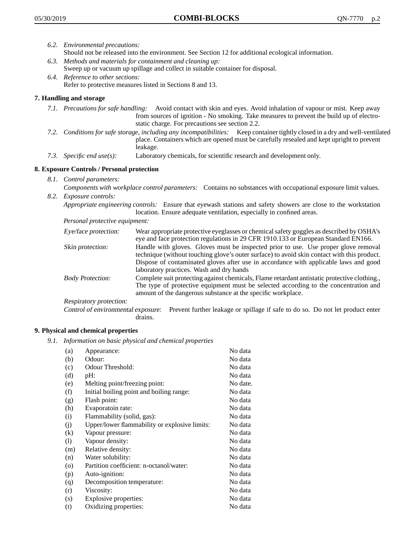- *6.2. Environmental precautions:* Should not be released into the environment. See Section 12 for additional ecological information.
- *6.3. Methods and materials for containment and cleaning up:* Sweep up or vacuum up spillage and collect in suitable container for disposal.
- *6.4. Reference to other sections:* Refer to protective measures listed in Sections 8 and 13.

# **7. Handling and storage**

- *7.1. Precautions for safe handling:* Avoid contact with skin and eyes. Avoid inhalation of vapour or mist. Keep away from sources of ignition - No smoking. Take measures to prevent the build up of electrostatic charge. For precautions see section 2.2.
- *7.2. Conditions for safe storage, including any incompatibilities:* Keep container tightly closed in a dry and well-ventilated place. Containers which are opened must be carefully resealed and kept upright to prevent leakage.
- *7.3. Specific end use(s):* Laboratory chemicals, for scientific research and development only.

# **8. Exposure Controls / Personal protection**

- *8.1. Control parameters:*
- *Components with workplace control parameters:* Contains no substances with occupational exposure limit values. *8.2. Exposure controls:*

*Appropriate engineering controls:* Ensure that eyewash stations and safety showers are close to the workstation location. Ensure adequate ventilation, especially in confined areas.

*Personal protective equipment:*

| Eye/face protection:    | Wear appropriate protective eyeglasses or chemical safety goggles as described by OSHA's<br>eye and face protection regulations in 29 CFR 1910.133 or European Standard EN166.                                                                                                                                         |
|-------------------------|------------------------------------------------------------------------------------------------------------------------------------------------------------------------------------------------------------------------------------------------------------------------------------------------------------------------|
| Skin protection:        | Handle with gloves. Gloves must be inspected prior to use. Use proper glove removal<br>technique (without touching glove's outer surface) to avoid skin contact with this product.<br>Dispose of contaminated gloves after use in accordance with applicable laws and good<br>laboratory practices. Wash and dry hands |
| <b>Body Protection:</b> | Complete suit protecting against chemicals, Flame retardant antistatic protective clothing.,<br>The type of protective equipment must be selected according to the concentration and<br>amount of the dangerous substance at the specific workplace.                                                                   |
| Respiratory protection: |                                                                                                                                                                                                                                                                                                                        |

Control of environmental exposure: Prevent further leakage or spillage if safe to do so. Do not let product enter drains.

# **9. Physical and chemical properties**

*9.1. Information on basic physical and chemical properties*

| (a)                        | Appearance:                                   | No data  |
|----------------------------|-----------------------------------------------|----------|
| (b)                        | Odour:                                        | No data  |
| (c)                        | Odour Threshold:                              | No data  |
| (d)                        | pH:                                           | No data  |
| (e)                        | Melting point/freezing point:                 | No date. |
| (f)                        | Initial boiling point and boiling range:      | No data  |
| (g)                        | Flash point:                                  | No data  |
| (h)                        | Evaporatoin rate:                             | No data  |
| (i)                        | Flammability (solid, gas):                    | No data  |
| (j)                        | Upper/lower flammability or explosive limits: | No data  |
| (k)                        | Vapour pressure:                              | No data  |
| $\left( \mathrm{l}\right)$ | Vapour density:                               | No data  |
| (m)                        | Relative density:                             | No data  |
| (n)                        | Water solubility:                             | No data  |
| $\circ$                    | Partition coefficient: n-octanol/water:       | No data  |
| (p)                        | Auto-ignition:                                | No data  |
| (q)                        | Decomposition temperature:                    | No data  |
| (r)                        | Viscosity:                                    | No data  |
| (s)                        | Explosive properties:                         | No data  |
| (t)                        | Oxidizing properties:                         | No data  |